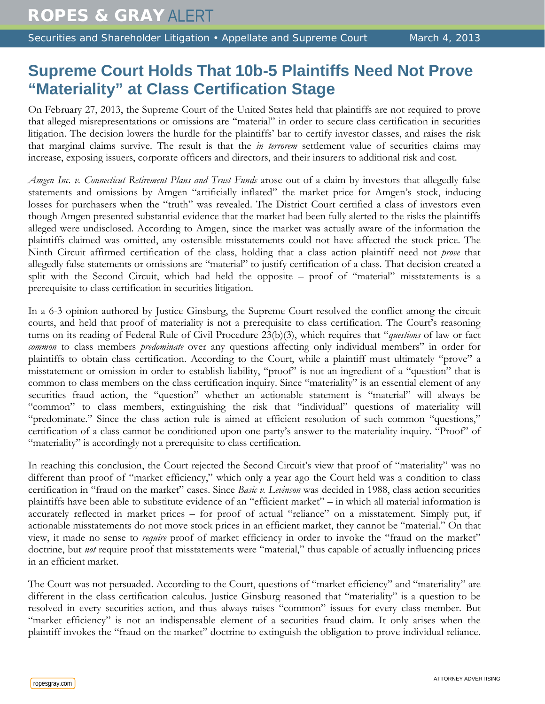## **Supreme Court Holds That 10b-5 Plaintiffs Need Not Prove "Materiality" at Class Certification Stage**

On February 27, 2013, the Supreme Court of the United States held that plaintiffs are not required to prove that alleged misrepresentations or omissions are "material" in order to secure class certification in securities litigation. The decision lowers the hurdle for the plaintiffs' bar to certify investor classes, and raises the risk that marginal claims survive. The result is that the *in terrorem* settlement value of securities claims may increase, exposing issuers, corporate officers and directors, and their insurers to additional risk and cost.

*Amgen Inc. v. Connecticut Retirement Plans and Trust Funds* arose out of a claim by investors that allegedly false statements and omissions by Amgen "artificially inflated" the market price for Amgen's stock, inducing losses for purchasers when the "truth" was revealed. The District Court certified a class of investors even though Amgen presented substantial evidence that the market had been fully alerted to the risks the plaintiffs alleged were undisclosed. According to Amgen, since the market was actually aware of the information the plaintiffs claimed was omitted, any ostensible misstatements could not have affected the stock price. The Ninth Circuit affirmed certification of the class, holding that a class action plaintiff need not *prove* that allegedly false statements or omissions are "material" to justify certification of a class. That decision created a split with the Second Circuit, which had held the opposite – proof of "material" misstatements is a prerequisite to class certification in securities litigation.

In a 6-3 opinion authored by Justice Ginsburg, the Supreme Court resolved the conflict among the circuit courts, and held that proof of materiality is not a prerequisite to class certification. The Court's reasoning turns on its reading of Federal Rule of Civil Procedure 23(b)(3), which requires that "*questions* of law or fact *common* to class members *predominate* over any questions affecting only individual members" in order for plaintiffs to obtain class certification. According to the Court, while a plaintiff must ultimately "prove" a misstatement or omission in order to establish liability, "proof" is not an ingredient of a "question" that is common to class members on the class certification inquiry. Since "materiality" is an essential element of any securities fraud action, the "question" whether an actionable statement is "material" will always be "common" to class members, extinguishing the risk that "individual" questions of materiality will "predominate." Since the class action rule is aimed at efficient resolution of such common "questions," certification of a class cannot be conditioned upon one party's answer to the materiality inquiry. "Proof" of "materiality" is accordingly not a prerequisite to class certification.

In reaching this conclusion, the Court rejected the Second Circuit's view that proof of "materiality" was no different than proof of "market efficiency," which only a year ago the Court held was a condition to class certification in "fraud on the market" cases. Since *Basic v. Levinson* was decided in 1988, class action securities plaintiffs have been able to substitute evidence of an "efficient market" – in which all material information is accurately reflected in market prices – for proof of actual "reliance" on a misstatement. Simply put, if actionable misstatements do not move stock prices in an efficient market, they cannot be "material." On that view, it made no sense to *require* proof of market efficiency in order to invoke the "fraud on the market" doctrine, but *not* require proof that misstatements were "material," thus capable of actually influencing prices in an efficient market.

The Court was not persuaded. According to the Court, questions of "market efficiency" and "materiality" are different in the class certification calculus. Justice Ginsburg reasoned that "materiality" is a question to be resolved in every securities action, and thus always raises "common" issues for every class member. But "market efficiency" is not an indispensable element of a securities fraud claim. It only arises when the plaintiff invokes the "fraud on the market" doctrine to extinguish the obligation to prove individual reliance.